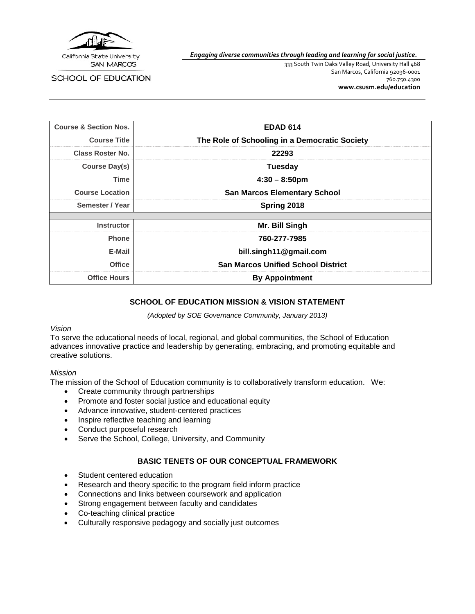

SCHOOL OF EDUCATION

*Engaging diverse communities through leading and learning for social justice.*

333 South Twin Oaks Valley Road, University Hall 468 San Marcos, California 92096-0001 760.750.4300 **[www.csusm.edu/education](http://www.csusm.edu/education)**

| <b>Course &amp; Section Nos.</b>             | <b>EDAD 614</b>                               |  |  |
|----------------------------------------------|-----------------------------------------------|--|--|
| <b>Course Title</b>                          | The Role of Schooling in a Democratic Society |  |  |
| <b>Class Roster No.</b>                      | 22293                                         |  |  |
| Course Day(s)                                | Tuesday                                       |  |  |
| Time                                         | $4:30 - 8:50 \text{pm}$                       |  |  |
| <b>Course Location</b>                       | <b>San Marcos Elementary School</b>           |  |  |
| Semester / Year                              | Spring 2018                                   |  |  |
|                                              |                                               |  |  |
| <b>Instructor</b>                            | Mr. Bill Singh                                |  |  |
| <b>Phone</b>                                 | 760-277-7985                                  |  |  |
| E-Mail                                       | bill.singh11@gmail.com                        |  |  |
| Office                                       | <b>San Marcos Unified School District</b>     |  |  |
| <b>Office Hours</b><br><b>By Appointment</b> |                                               |  |  |

### **SCHOOL OF EDUCATION MISSION & VISION STATEMENT**

*(Adopted by SOE Governance Community, January 2013)*

#### *Vision*

To serve the educational needs of local, regional, and global communities, the School of Education advances innovative practice and leadership by generating, embracing, and promoting equitable and creative solutions.

#### *Mission*

The mission of the School of Education community is to collaboratively transform education. We:

- Create community through partnerships
- Promote and foster social justice and educational equity
- Advance innovative, student-centered practices
- Inspire reflective teaching and learning
- Conduct purposeful research
- Serve the School, College, University, and Community

# **BASIC TENETS OF OUR CONCEPTUAL FRAMEWORK**

- Student centered education
- Research and theory specific to the program field inform practice
- Connections and links between coursework and application
- Strong engagement between faculty and candidates
- Co-teaching clinical practice
- Culturally responsive pedagogy and socially just outcomes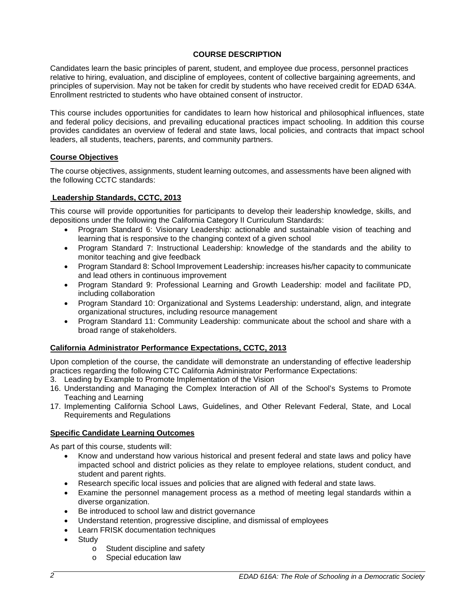# **COURSE DESCRIPTION**

Candidates learn the basic principles of parent, student, and employee due process, personnel practices relative to hiring, evaluation, and discipline of employees, content of collective bargaining agreements, and principles of supervision. May not be taken for credit by students who have received credit for EDAD 634A. Enrollment restricted to students who have obtained consent of instructor.

This course includes opportunities for candidates to learn how historical and philosophical influences, state and federal policy decisions, and prevailing educational practices impact schooling. In addition this course provides candidates an overview of federal and state laws, local policies, and contracts that impact school leaders, all students, teachers, parents, and community partners.

### **Course Objectives**

The course objectives, assignments, student learning outcomes, and assessments have been aligned with the following CCTC standards:

### **Leadership Standards, CCTC, 2013**

This course will provide opportunities for participants to develop their leadership knowledge, skills, and depositions under the following the California Category II Curriculum Standards:

- Program Standard 6: Visionary Leadership: actionable and sustainable vision of teaching and learning that is responsive to the changing context of a given school
- Program Standard 7: Instructional Leadership: knowledge of the standards and the ability to monitor teaching and give feedback
- Program Standard 8: School Improvement Leadership: increases his/her capacity to communicate and lead others in continuous improvement
- Program Standard 9: Professional Learning and Growth Leadership: model and facilitate PD, including collaboration
- Program Standard 10: Organizational and Systems Leadership: understand, align, and integrate organizational structures, including resource management
- Program Standard 11: Community Leadership: communicate about the school and share with a broad range of stakeholders.

# **California Administrator Performance Expectations, CCTC, 2013**

Upon completion of the course, the candidate will demonstrate an understanding of effective leadership practices regarding the following CTC California Administrator Performance Expectations:

- 3. Leading by Example to Promote Implementation of the Vision
- 16. Understanding and Managing the Complex Interaction of All of the School's Systems to Promote Teaching and Learning
- 17. Implementing California School Laws, Guidelines, and Other Relevant Federal, State, and Local Requirements and Regulations

# **Specific Candidate Learning Outcomes**

As part of this course, students will:

- Know and understand how various historical and present federal and state laws and policy have impacted school and district policies as they relate to employee relations, student conduct, and student and parent rights.
- Research specific local issues and policies that are aligned with federal and state laws.
- Examine the personnel management process as a method of meeting legal standards within a diverse organization.
- Be introduced to school law and district governance
- Understand retention, progressive discipline, and dismissal of employees
- Learn FRISK documentation techniques
- **Study** 
	- o Student discipline and safety<br>
	o Special education law
	- Special education law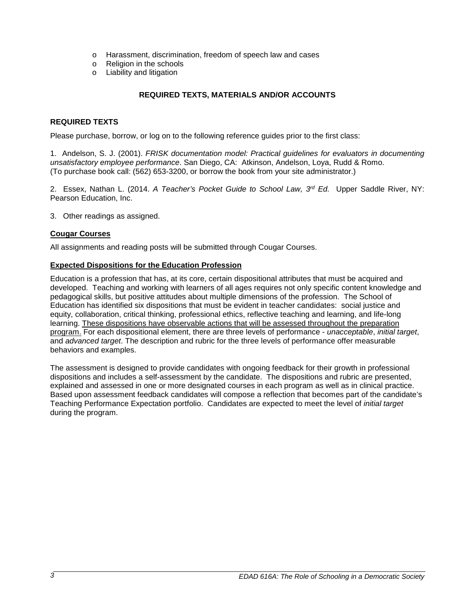- o Harassment, discrimination, freedom of speech law and cases  $\circ$  Religion in the schools
- Religion in the schools
- o Liability and litigation

# **REQUIRED TEXTS, MATERIALS AND/OR ACCOUNTS**

### **REQUIRED TEXTS**

Please purchase, borrow, or log on to the following reference guides prior to the first class:

1. Andelson, S. J. (2001). *FRISK documentation model: Practical guidelines for evaluators in documenting unsatisfactory employee performance*. San Diego, CA: Atkinson, Andelson, Loya, Rudd & Romo. (To purchase book call: (562) 653-3200, or borrow the book from your site administrator.)

2. Essex, Nathan L. (2014. *A Teacher's Pocket Guide to School Law, 3rd Ed.* Upper Saddle River, NY: Pearson Education, Inc.

3. Other readings as assigned.

### **Cougar Courses**

All assignments and reading posts will be submitted through Cougar Courses.

### **Expected Dispositions for the Education Profession**

Education is a profession that has, at its core, certain dispositional attributes that must be acquired and developed. Teaching and working with learners of all ages requires not only specific content knowledge and pedagogical skills, but positive attitudes about multiple dimensions of the profession. The School of Education has identified six dispositions that must be evident in teacher candidates: social justice and equity, collaboration, critical thinking, professional ethics, reflective teaching and learning, and life-long learning. These dispositions have observable actions that will be assessed throughout the preparation program. For each dispositional element, there are three levels of performance - *unacceptable*, *initial target*, and *advanced target*. The description and rubric for the three levels of performance offer measurable behaviors and examples.

The assessment is designed to provide candidates with ongoing feedback for their growth in professional dispositions and includes a self-assessment by the candidate. The dispositions and rubric are presented, explained and assessed in one or more designated courses in each program as well as in clinical practice. Based upon assessment feedback candidates will compose a reflection that becomes part of the candidate's Teaching Performance Expectation portfolio. Candidates are expected to meet the level of *initial target* during the program.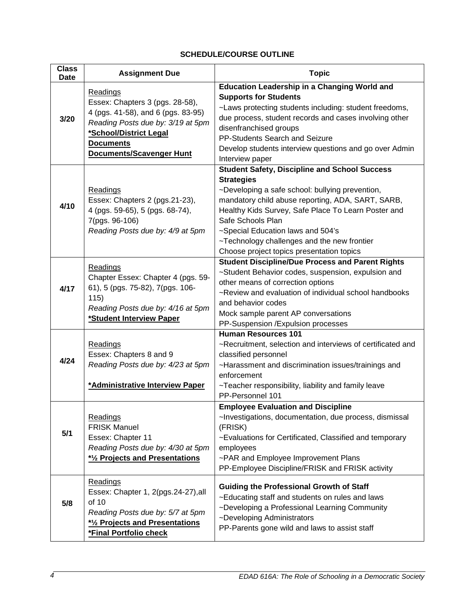# **SCHEDULE/COURSE OUTLINE**

| <b>Class</b><br><b>Date</b> | <b>Assignment Due</b>                                                                                                                                                                                   | <b>Topic</b>                                                                                                                                                                                                                                                                                                                                                                                   |
|-----------------------------|---------------------------------------------------------------------------------------------------------------------------------------------------------------------------------------------------------|------------------------------------------------------------------------------------------------------------------------------------------------------------------------------------------------------------------------------------------------------------------------------------------------------------------------------------------------------------------------------------------------|
| 3/20                        | <b>Readings</b><br>Essex: Chapters 3 (pgs. 28-58),<br>4 (pgs. 41-58), and 6 (pgs. 83-95)<br>Reading Posts due by: 3/19 at 5pm<br>*School/District Legal<br><b>Documents</b><br>Documents/Scavenger Hunt | <b>Education Leadership in a Changing World and</b><br><b>Supports for Students</b><br>~Laws protecting students including: student freedoms,<br>due process, student records and cases involving other<br>disenfranchised groups<br>PP-Students Search and Seizure<br>Develop students interview questions and go over Admin<br>Interview paper                                               |
| 4/10                        | <b>Readings</b><br>Essex: Chapters 2 (pgs.21-23),<br>4 (pgs. 59-65), 5 (pgs. 68-74),<br>7(pgs. 96-106)<br>Reading Posts due by: 4/9 at 5pm                                                              | <b>Student Safety, Discipline and School Success</b><br><b>Strategies</b><br>~Developing a safe school: bullying prevention,<br>mandatory child abuse reporting, ADA, SART, SARB,<br>Healthy Kids Survey, Safe Place To Learn Poster and<br>Safe Schools Plan<br>~Special Education laws and 504's<br>~Technology challenges and the new frontier<br>Choose project topics presentation topics |
| 4/17                        | <b>Readings</b><br>Chapter Essex: Chapter 4 (pgs. 59-<br>61), 5 (pgs. 75-82), 7(pgs. 106-<br>115)<br>Reading Posts due by: 4/16 at 5pm<br>*Student Interview Paper                                      | <b>Student Discipline/Due Process and Parent Rights</b><br>~Student Behavior codes, suspension, expulsion and<br>other means of correction options<br>~Review and evaluation of individual school handbooks<br>and behavior codes<br>Mock sample parent AP conversations<br>PP-Suspension / Expulsion processes                                                                                |
| 4/24                        | Readings<br>Essex: Chapters 8 and 9<br>Reading Posts due by: 4/23 at 5pm<br>*Administrative Interview Paper                                                                                             | <b>Human Resources 101</b><br>~Recruitment, selection and interviews of certificated and<br>classified personnel<br>~Harassment and discrimination issues/trainings and<br>enforcement<br>~Teacher responsibility, liability and family leave<br>PP-Personnel 101                                                                                                                              |
| 5/1                         | <b>Readings</b><br><b>FRISK Manuel</b><br>Essex: Chapter 11<br>Reading Posts due by: 4/30 at 5pm<br>* <sup>1</sup> / <sub>2</sub> Projects and Presentations                                            | <b>Employee Evaluation and Discipline</b><br>~Investigations, documentation, due process, dismissal<br>(FRISK)<br>~Evaluations for Certificated, Classified and temporary<br>employees<br>~PAR and Employee Improvement Plans<br>PP-Employee Discipline/FRISK and FRISK activity                                                                                                               |
| 5/8                         | Readings<br>Essex: Chapter 1, 2(pgs.24-27), all<br>of 10<br>Reading Posts due by: 5/7 at 5pm<br>* <sup>1</sup> / <sub>2</sub> Projects and Presentations<br>*Final Portfolio check                      | <b>Guiding the Professional Growth of Staff</b><br>~Educating staff and students on rules and laws<br>~Developing a Professional Learning Community<br>~Developing Administrators<br>PP-Parents gone wild and laws to assist staff                                                                                                                                                             |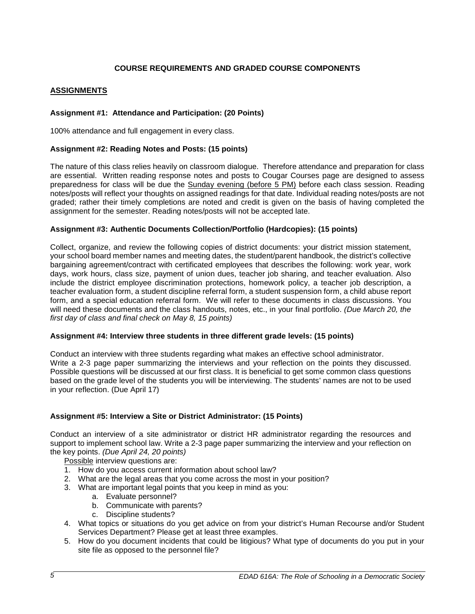# **COURSE REQUIREMENTS AND GRADED COURSE COMPONENTS**

# **ASSIGNMENTS**

# **Assignment #1: Attendance and Participation: (20 Points)**

100% attendance and full engagement in every class.

### **Assignment #2: Reading Notes and Posts: (15 points)**

The nature of this class relies heavily on classroom dialogue. Therefore attendance and preparation for class are essential. Written reading response notes and posts to Cougar Courses page are designed to assess preparedness for class will be due the Sunday evening (before 5 PM) before each class session. Reading notes/posts will reflect your thoughts on assigned readings for that date. Individual reading notes/posts are not graded; rather their timely completions are noted and credit is given on the basis of having completed the assignment for the semester. Reading notes/posts will not be accepted late.

#### **Assignment #3: Authentic Documents Collection/Portfolio (Hardcopies): (15 points)**

Collect, organize, and review the following copies of district documents: your district mission statement, your school board member names and meeting dates, the student/parent handbook, the district's collective bargaining agreement/contract with certificated employees that describes the following: work year, work days, work hours, class size, payment of union dues, teacher job sharing, and teacher evaluation. Also include the district employee discrimination protections, homework policy, a teacher job description, a teacher evaluation form, a student discipline referral form, a student suspension form, a child abuse report form, and a special education referral form. We will refer to these documents in class discussions. You will need these documents and the class handouts, notes, etc., in your final portfolio. *(Due March 20, the first day of class and final check on May 8, 15 points)*

#### **Assignment #4: Interview three students in three different grade levels: (15 points)**

Conduct an interview with three students regarding what makes an effective school administrator. Write a 2-3 page paper summarizing the interviews and your reflection on the points they discussed. Possible questions will be discussed at our first class. It is beneficial to get some common class questions based on the grade level of the students you will be interviewing. The students' names are not to be used in your reflection. (Due April 17)

#### **Assignment #5: Interview a Site or District Administrator: (15 Points)**

Conduct an interview of a site administrator or district HR administrator regarding the resources and support to implement school law. Write a 2-3 page paper summarizing the interview and your reflection on the key points. *(Due April 24, 20 points)*

Possible interview questions are:

- 1. How do you access current information about school law?
- 2. What are the legal areas that you come across the most in your position?
- 3. What are important legal points that you keep in mind as you:
	- a. Evaluate personnel?
	- b. Communicate with parents?
	- c. Discipline students?
- 4. What topics or situations do you get advice on from your district's Human Recourse and/or Student Services Department? Please get at least three examples.
- 5. How do you document incidents that could be litigious? What type of documents do you put in your site file as opposed to the personnel file?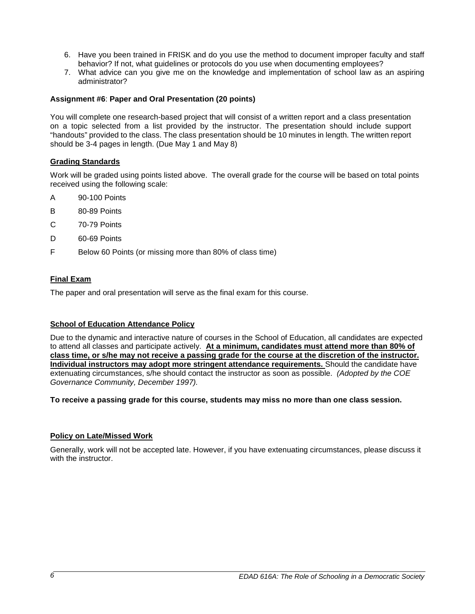- 6. Have you been trained in FRISK and do you use the method to document improper faculty and staff behavior? If not, what guidelines or protocols do you use when documenting employees?
- 7. What advice can you give me on the knowledge and implementation of school law as an aspiring administrator?

### **Assignment #6**: **Paper and Oral Presentation (20 points)**

You will complete one research-based project that will consist of a written report and a class presentation on a topic selected from a list provided by the instructor. The presentation should include support "handouts" provided to the class. The class presentation should be 10 minutes in length. The written report should be 3-4 pages in length. (Due May 1 and May 8)

# **Grading Standards**

Work will be graded using points listed above. The overall grade for the course will be based on total points received using the following scale:

- A 90-100 Points
- B 80-89 Points
- C 70-79 Points
- D 60-69 Points
- F Below 60 Points (or missing more than 80% of class time)

# **Final Exam**

The paper and oral presentation will serve as the final exam for this course.

# **School of Education Attendance Policy**

Due to the dynamic and interactive nature of courses in the School of Education, all candidates are expected to attend all classes and participate actively. **At a minimum, candidates must attend more than 80% of class time, or s/he may not receive a passing grade for the course at the discretion of the instructor. Individual instructors may adopt more stringent attendance requirements.** Should the candidate have extenuating circumstances, s/he should contact the instructor as soon as possible. *(Adopted by the COE Governance Community, December 1997).*

#### **To receive a passing grade for this course, students may miss no more than one class session.**

#### **Policy on Late/Missed Work**

Generally, work will not be accepted late. However, if you have extenuating circumstances, please discuss it with the instructor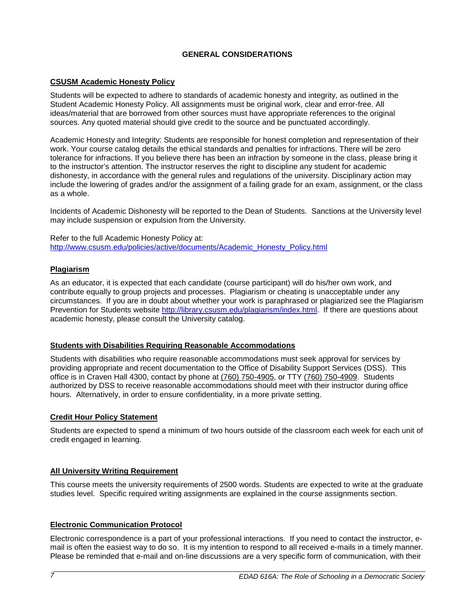# **GENERAL CONSIDERATIONS**

# **CSUSM Academic Honesty Policy**

Students will be expected to adhere to standards of academic honesty and integrity, as outlined in the Student Academic Honesty Policy. All assignments must be original work, clear and error-free. All ideas/material that are borrowed from other sources must have appropriate references to the original sources. Any quoted material should give credit to the source and be punctuated accordingly.

Academic Honesty and Integrity: Students are responsible for honest completion and representation of their work. Your course catalog details the ethical standards and penalties for infractions. There will be zero tolerance for infractions. If you believe there has been an infraction by someone in the class, please bring it to the instructor's attention. The instructor reserves the right to discipline any student for academic dishonesty, in accordance with the general rules and regulations of the university. Disciplinary action may include the lowering of grades and/or the assignment of a failing grade for an exam, assignment, or the class as a whole.

Incidents of Academic Dishonesty will be reported to the Dean of Students. Sanctions at the University level may include suspension or expulsion from the University.

Refer to the full Academic Honesty Policy at: [http://www.csusm.edu/policies/active/documents/Academic\\_Honesty\\_Policy.html](http://www.csusm.edu/policies/active/documents/Academic_Honesty_Policy.html)

### **Plagiarism**

As an educator, it is expected that each candidate (course participant) will do his/her own work, and contribute equally to group projects and processes. Plagiarism or cheating is unacceptable under any circumstances. If you are in doubt about whether your work is paraphrased or plagiarized see the Plagiarism Prevention for Students website [http://library.csusm.edu/plagiarism/index.html.](http://library.csusm.edu/plagiarism/index.html) If there are questions about academic honesty, please consult the University catalog.

# **Students with Disabilities Requiring Reasonable Accommodations**

Students with disabilities who require reasonable accommodations must seek approval for services by providing appropriate and recent documentation to the Office of Disability Support Services (DSS). This office is in Craven Hall 4300, contact by phone at [\(760\) 750-4905,](tel:(760)%20750-4905) or TTY [\(760\) 750-4909.](tel:(760)%20750-4909) Students authorized by DSS to receive reasonable accommodations should meet with their instructor during office hours. Alternatively, in order to ensure confidentiality, in a more private setting.

# **Credit Hour Policy Statement**

Students are expected to spend a minimum of two hours outside of the classroom each week for each unit of credit engaged in learning.

# **All University Writing Requirement**

This course meets the university requirements of 2500 words. Students are expected to write at the graduate studies level. Specific required writing assignments are explained in the course assignments section.

# **Electronic Communication Protocol**

Electronic correspondence is a part of your professional interactions. If you need to contact the instructor, email is often the easiest way to do so. It is my intention to respond to all received e-mails in a timely manner. Please be reminded that e-mail and on-line discussions are a very specific form of communication, with their